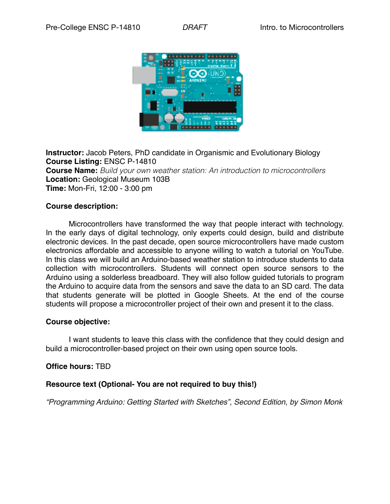

**Instructor:** Jacob Peters, PhD candidate in Organismic and Evolutionary Biology **Course Listing:** ENSC P-14810 **Course Name:** *Build your own weather station: An introduction to microcontrollers*  **Location:** Geological Museum 103B **Time:** Mon-Fri, 12:00 - 3:00 pm

#### **Course description:**

Microcontrollers have transformed the way that people interact with technology. In the early days of digital technology, only experts could design, build and distribute electronic devices. In the past decade, open source microcontrollers have made custom electronics affordable and accessible to anyone willing to watch a tutorial on YouTube. In this class we will build an Arduino-based weather station to introduce students to data collection with microcontrollers. Students will connect open source sensors to the Arduino using a solderless breadboard. They will also follow guided tutorials to program the Arduino to acquire data from the sensors and save the data to an SD card. The data that students generate will be plotted in Google Sheets. At the end of the course students will propose a microcontroller project of their own and present it to the class.

#### **Course objective:**

I want students to leave this class with the confidence that they could design and build a microcontroller-based project on their own using open source tools.

#### **Office hours:** TBD

### **Resource text (Optional- You are not required to buy this!)**

*"Programming Arduino: Getting Started with Sketches", Second Edition, by Simon Monk*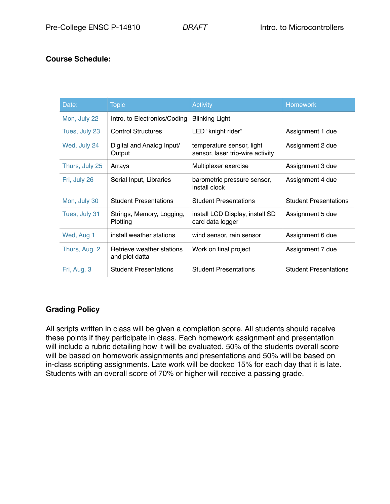## **Course Schedule:**

| Date:          | <b>Topic</b>                                | <b>Activity</b>                                               | <b>Homework</b>              |
|----------------|---------------------------------------------|---------------------------------------------------------------|------------------------------|
| Mon, July 22   | Intro. to Electronics/Coding                | <b>Blinking Light</b>                                         |                              |
| Tues, July 23  | <b>Control Structures</b>                   | LED "knight rider"                                            | Assignment 1 due             |
| Wed, July 24   | Digital and Analog Input/<br>Output         | temperature sensor, light<br>sensor, laser trip-wire activity | Assignment 2 due             |
| Thurs, July 25 | Arrays                                      | Multiplexer exercise                                          | Assignment 3 due             |
| Fri, July 26   | Serial Input, Libraries                     | barometric pressure sensor,<br>install clock                  | Assignment 4 due             |
| Mon, July 30   | <b>Student Presentations</b>                | <b>Student Presentations</b>                                  | <b>Student Presentations</b> |
| Tues, July 31  | Strings, Memory, Logging,<br>Plotting       | install LCD Display, install SD<br>card data logger           | Assignment 5 due             |
| Wed, Aug 1     | install weather stations                    | wind sensor, rain sensor                                      | Assignment 6 due             |
| Thurs, Aug. 2  | Retrieve weather stations<br>and plot datta | Work on final project                                         | Assignment 7 due             |
| Fri, Aug. 3    | <b>Student Presentations</b>                | <b>Student Presentations</b>                                  | <b>Student Presentations</b> |

## **Grading Policy**

All scripts written in class will be given a completion score. All students should receive these points if they participate in class. Each homework assignment and presentation will include a rubric detailing how it will be evaluated. 50% of the students overall score will be based on homework assignments and presentations and 50% will be based on in-class scripting assignments. Late work will be docked 15% for each day that it is late. Students with an overall score of 70% or higher will receive a passing grade.